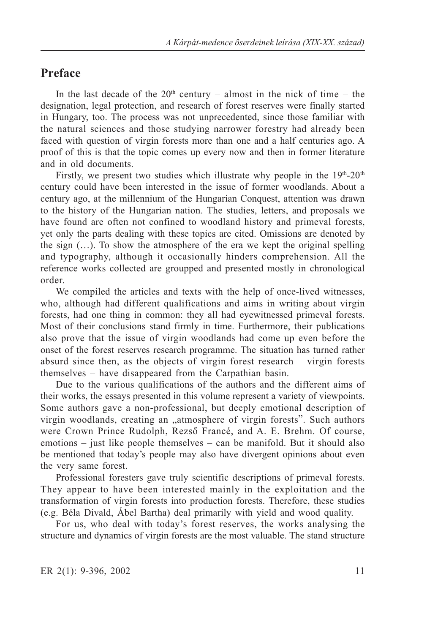## **Preface**

In the last decade of the  $20<sup>th</sup>$  century – almost in the nick of time – the designation, legal protection, and research of forest reserves were finally started in Hungary, too. The process was not unprecedented, since those familiar with the natural sciences and those studying narrower forestry had already been faced with question of virgin forests more than one and a half centuries ago. A proof of this is that the topic comes up every now and then in former literature and in old documents.

Firstly, we present two studies which illustrate why people in the  $19<sup>th</sup>$ -20<sup>th</sup> century could have been interested in the issue of former woodlands. About a century ago, at the millennium of the Hungarian Conquest, attention was drawn to the history of the Hungarian nation. The studies, letters, and proposals we have found are often not confined to woodland history and primeval forests, yet only the parts dealing with these topics are cited. Omissions are denoted by the sign (…). To show the atmosphere of the era we kept the original spelling and typography, although it occasionally hinders comprehension. All the reference works collected are groupped and presented mostly in chronological order.

We compiled the articles and texts with the help of once-lived witnesses, who, although had different qualifications and aims in writing about virgin forests, had one thing in common: they all had eyewitnessed primeval forests. Most of their conclusions stand firmly in time. Furthermore, their publications also prove that the issue of virgin woodlands had come up even before the onset of the forest reserves research programme. The situation has turned rather absurd since then, as the objects of virgin forest research — virgin forests themselves — have disappeared from the Carpathian basin.

Due to the various qualifications of the authors and the different aims of their works, the essays presented in this volume represent a variety of viewpoints. Some authors gave a non-professional, but deeply emotional description of virgin woodlands, creating an "atmosphere of virgin forests". Such authors were Crown Prince Rudolph, Rezsõ Francé, and A. E. Brehm. Of course, emotions — just like people themselves — can be manifold. But it should also be mentioned that today's people may also have divergent opinions about even the very same forest.

Professional foresters gave truly scientific descriptions of primeval forests. They appear to have been interested mainly in the exploitation and the transformation of virgin forests into production forests. Therefore, these studies (e.g. Béla Divald, Ábel Bartha) deal primarily with yield and wood quality.

For us, who deal with today's forest reserves, the works analysing the structure and dynamics of virgin forests are the most valuable. The stand structure